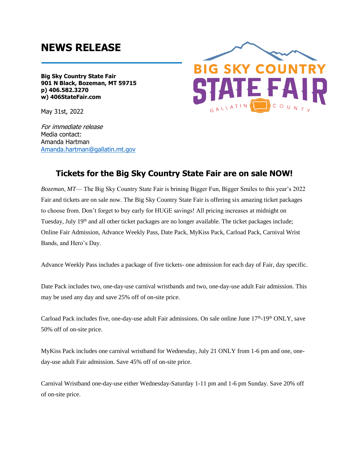## **NEWS RELEASE**

**Big Sky Country State Fair 901 N Black, Bozeman, MT 59715 p) 406.582.3270 w) 406StateFair.com**

May 31st, 2022

For immediate release Media contact: Amanda Hartman [Amanda.hartman@gallatin.mt.gov](mailto:Amanda.hartman@gallatin.mt.gov)



## **Tickets for the Big Sky Country State Fair are on sale NOW!**

*Bozeman, MT*— The Big Sky Country State Fair is brining Bigger Fun, Bigger Smiles to this year's 2022 Fair and tickets are on sale now. The Big Sky Country State Fair is offering six amazing ticket packages to choose from. Don't forget to buy early for HUGE savings! All pricing increases at midnight on Tuesday, July 19<sup>th</sup> and all other ticket packages are no longer available. The ticket packages include; Online Fair Admission, Advance Weekly Pass, Date Pack, MyKiss Pack, Carload Pack, Carnival Wrist Bands, and Hero's Day.

Advance Weekly Pass includes a package of five tickets- one admission for each day of Fair, day specific.

Date Pack includes two, one-day-use carnival wristbands and two, one-day-use adult Fair admission. This may be used any day and save 25% off of on-site price.

Carload Pack includes five, one-day-use adult Fair admissions. On sale online June 17<sup>th</sup>-19<sup>th</sup> ONLY, save 50% off of on-site price.

MyKiss Pack includes one carnival wristband for Wednesday, July 21 ONLY from 1-6 pm and one, oneday-use adult Fair admission. Save 45% off of on-site price.

Carnival Wristband one-day-use either Wednesday-Saturday 1-11 pm and 1-6 pm Sunday. Save 20% off of on-site price.